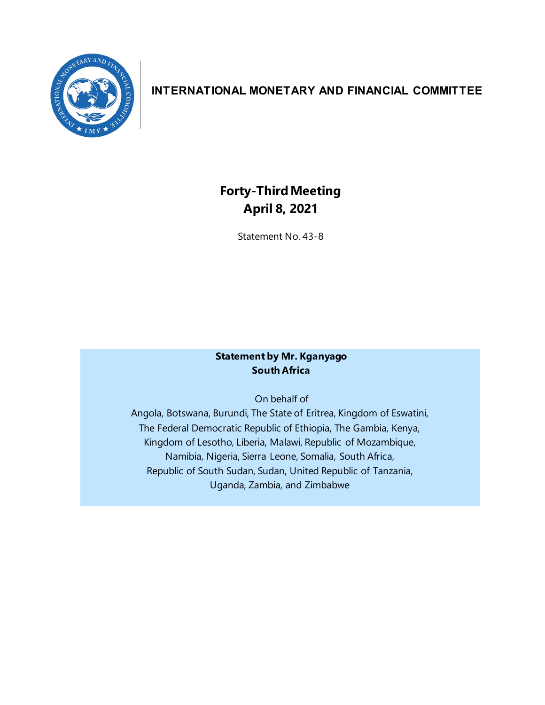

## **INTERNATIONAL MONETARY AND FINANCIAL COMMITTEE**

## **Forty-Third Meeting April 8, 2021**

Statement No. 43-8

## **Statement by Mr. Kganyago South Africa**

On behalf of

Angola, Botswana, Burundi, The State of Eritrea, Kingdom of Eswatini, The Federal Democratic Republic of Ethiopia, The Gambia, Kenya, Kingdom of Lesotho, Liberia, Malawi, Republic of Mozambique, Namibia, Nigeria, Sierra Leone, Somalia, South Africa, Republic of South Sudan, Sudan, United Republic of Tanzania, Uganda, Zambia, and Zimbabwe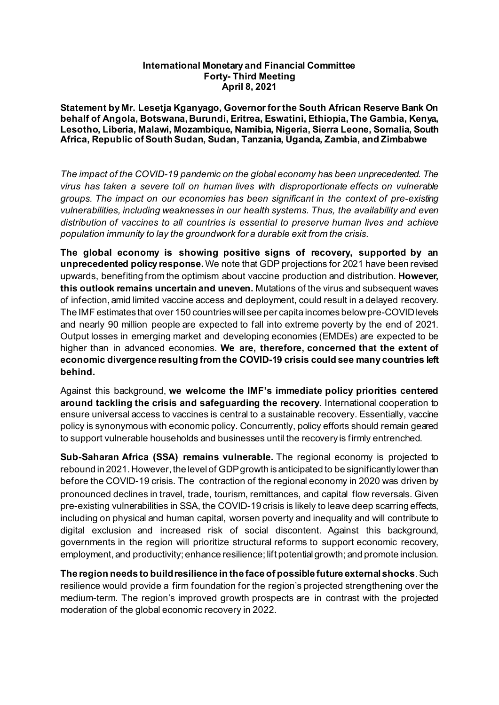## **International Monetary and Financial Committee Forty- Third Meeting April 8, 2021**

**Statement by Mr. Lesetja Kganyago, Governor for the South African Reserve Bank On behalf of Angola, Botswana, Burundi, Eritrea, Eswatini, Ethiopia, The Gambia, Kenya, Lesotho, Liberia, Malawi, Mozambique, Namibia, Nigeria, Sierra Leone, Somalia, South Africa, Republic of South Sudan, Sudan, Tanzania, Uganda, Zambia, and Zimbabwe**

*The impact of the COVID-19 pandemic on the global economy has been unprecedented. The virus has taken a severe toll on human lives with disproportionate effects on vulnerable groups. The impact on our economies has been significant in the context of pre-existing vulnerabilities, including weaknesses in our health systems. Thus, the availability and even distribution of vaccines to all countries is essential to preserve human lives and achieve population immunity to lay the groundwork for a durable exit from the crisis.* 

**The global economy is showing positive signs of recovery, supported by an unprecedented policy response.**We note that GDP projections for 2021 have been revised upwards, benefiting from the optimism about vaccine production and distribution. **However, this outlook remains uncertain and uneven.** Mutations of the virus and subsequent waves of infection, amid limited vaccine access and deployment, could result in a delayed recovery. The IMF estimates that over 150 countries will see per capita incomes below pre-COVID levels and nearly 90 million people are expected to fall into extreme poverty by the end of 2021. Output losses in emerging market and developing economies (EMDEs) are expected to be higher than in advanced economies. **We are, therefore, concerned that the extent of economic divergence resulting from the COVID-19 crisis could see many countries left behind.**

Against this background, **we welcome the IMF's immediate policy priorities centered around tackling the crisis and safeguarding the recovery**. International cooperation to ensure universal access to vaccines is central to a sustainable recovery. Essentially, vaccine policy is synonymous with economic policy. Concurrently, policy efforts should remain geared to support vulnerable households and businesses until the recovery is firmly entrenched.

**Sub-Saharan Africa (SSA) remains vulnerable.** The regional economy is projected to rebound in 2021. However, the level of GDP growth is anticipated to be significantly lower than before the COVID-19 crisis. The contraction of the regional economy in 2020 was driven by pronounced declines in travel, trade, tourism, remittances, and capital flow reversals. Given pre-existing vulnerabilities in SSA, the COVID-19 crisis is likely to leave deep scarring effects, including on physical and human capital, worsen poverty and inequality and will contribute to digital exclusion and increased risk of social discontent. Against this background, governments in the region will prioritize structural reforms to support economic recovery, employment, and productivity; enhance resilience; lift potential growth; and promote inclusion.

**The region needs to build resilience in the face of possible future external shocks**. Such resilience would provide a firm foundation for the region's projected strengthening over the medium-term. The region's improved growth prospects are in contrast with the projected moderation of the global economic recovery in 2022.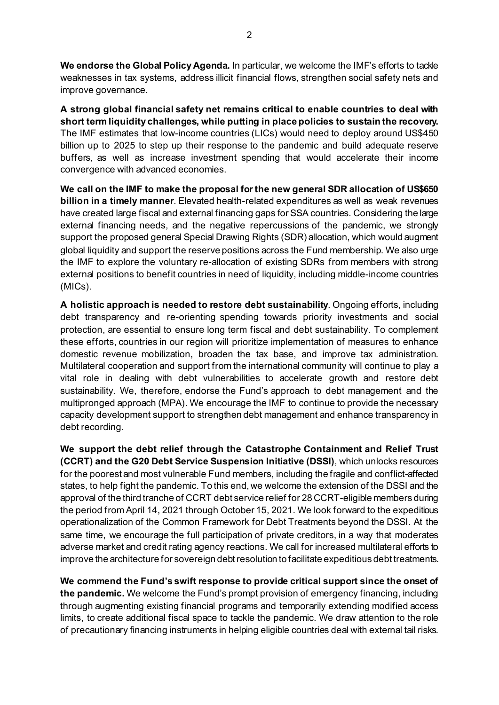**We endorse the Global Policy Agenda.** In particular, we welcome the IMF's efforts to tackle weaknesses in tax systems, address illicit financial flows, strengthen social safety nets and improve governance.

**A strong global financial safety net remains critical to enable countries to deal with short term liquidity challenges, while putting in place policies to sustain the recovery.** The IMF estimates that low-income countries (LICs) would need to deploy around US\$450 billion up to 2025 to step up their response to the pandemic and build adequate reserve buffers, as well as increase investment spending that would accelerate their income convergence with advanced economies.

**We call on the IMF to make the proposal for the new general SDR allocation of US\$650 billion in a timely manner**. Elevated health-related expenditures as well as weak revenues have created large fiscal and external financing gaps for SSA countries. Considering the large external financing needs, and the negative repercussions of the pandemic, we strongly support the proposed general Special Drawing Rights (SDR) allocation, which would augment global liquidity and support the reserve positions across the Fund membership. We also urge the IMF to explore the voluntary re-allocation of existing SDRs from members with strong external positions to benefit countries in need of liquidity, including middle-income countries (MICs).

**A holistic approach is needed to restore debt sustainability**. Ongoing efforts, including debt transparency and re-orienting spending towards priority investments and social protection, are essential to ensure long term fiscal and debt sustainability. To complement these efforts, countries in our region will prioritize implementation of measures to enhance domestic revenue mobilization, broaden the tax base, and improve tax administration. Multilateral cooperation and support from the international community will continue to play a vital role in dealing with debt vulnerabilities to accelerate growth and restore debt sustainability. We, therefore, endorse the Fund's approach to debt management and the multipronged approach (MPA). We encourage the IMF to continue to provide the necessary capacity development support to strengthen debt management and enhance transparency in debt recording.

**We support the debt relief through the Catastrophe Containment and Relief Trust (CCRT) and the G20 Debt Service Suspension Initiative (DSSI)**, which unlocks resources for the poorest and most vulnerable Fund members, including the fragile and conflict-affected states, to help fight the pandemic. To this end, we welcome the extension of the DSSI and the approval of the third tranche of CCRT debt service relief for 28 CCRT-eligible members during the period from April 14, 2021 through October 15, 2021. We look forward to the expeditious operationalization of the Common Framework for Debt Treatments beyond the DSSI. At the same time, we encourage the full participation of private creditors, in a way that moderates adverse market and credit rating agency reactions. We call for increased multilateral efforts to improve the architecture for sovereign debt resolution to facilitate expeditious debt treatments.

**We commend the Fund's swift response to provide critical support since the onset of the pandemic.** We welcome the Fund's prompt provision of emergency financing, including through augmenting existing financial programs and temporarily extending modified access limits, to create additional fiscal space to tackle the pandemic. We draw attention to the role of precautionary financing instruments in helping eligible countries deal with external tail risks.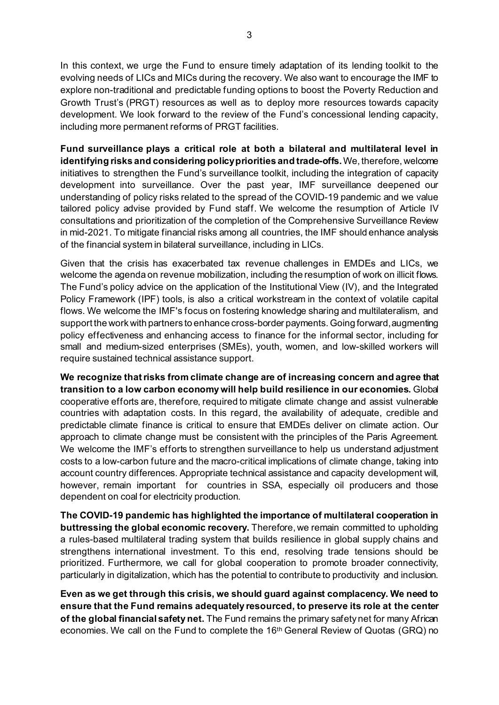In this context, we urge the Fund to ensure timely adaptation of its lending toolkit to the evolving needs of LICs and MICs during the recovery. We also want to encourage the IMF to explore non-traditional and predictable funding options to boost the Poverty Reduction and Growth Trust's (PRGT) resources as well as to deploy more resources towards capacity development. We look forward to the review of the Fund's concessional lending capacity, including more permanent reforms of PRGT facilities.

**Fund surveillance plays a critical role at both a bilateral and multilateral level in identifying risks and considering policy priorities and trade-offs.**We, therefore, welcome initiatives to strengthen the Fund's surveillance toolkit, including the integration of capacity development into surveillance. Over the past year, IMF surveillance deepened our understanding of policy risks related to the spread of the COVID-19 pandemic and we value tailored policy advise provided by Fund staff. We welcome the resumption of Article IV consultations and prioritization of the completion of the Comprehensive Surveillance Review in mid-2021. To mitigate financial risks among all countries, the IMF should enhance analysis of the financial system in bilateral surveillance, including in LICs.

Given that the crisis has exacerbated tax revenue challenges in EMDEs and LICs, we welcome the agenda on revenue mobilization, including the resumption of work on illicit flows. The Fund's policy advice on the application of the Institutional View (IV), and the Integrated Policy Framework (IPF) tools, is also a critical workstream in the context of volatile capital flows. We welcome the IMF's focus on fostering knowledge sharing and multilateralism, and support the work with partners to enhance cross-border payments. Going forward, augmenting policy effectiveness and enhancing access to finance for the informal sector, including for small and medium-sized enterprises (SMEs), youth, women, and low-skilled workers will require sustained technical assistance support.

**We recognize that risks from climate change are of increasing concern and agree that transition to a low carbon economy will help build resilience in our economies.** Global cooperative efforts are, therefore, required to mitigate climate change and assist vulnerable countries with adaptation costs. In this regard, the availability of adequate, credible and predictable climate finance is critical to ensure that EMDEs deliver on climate action. Our approach to climate change must be consistent with the principles of the Paris Agreement. We welcome the IMF's efforts to strengthen surveillance to help us understand adjustment costs to a low-carbon future and the macro-critical implications of climate change, taking into account country differences. Appropriate technical assistance and capacity development will, however, remain important for countries in SSA, especially oil producers and those dependent on coal for electricity production.

**The COVID-19 pandemic has highlighted the importance of multilateral cooperation in buttressing the global economic recovery.** Therefore, we remain committed to upholding a rules-based multilateral trading system that builds resilience in global supply chains and strengthens international investment. To this end, resolving trade tensions should be prioritized. Furthermore, we call for global cooperation to promote broader connectivity, particularly in digitalization, which has the potential to contribute to productivity and inclusion.

**Even as we get through this crisis, we should guard against complacency. We need to ensure that the Fund remains adequately resourced, to preserve its role at the center of the global financial safety net.** The Fund remains the primary safety net for many African economies. We call on the Fund to complete the 16<sup>th</sup> General Review of Quotas (GRQ) no